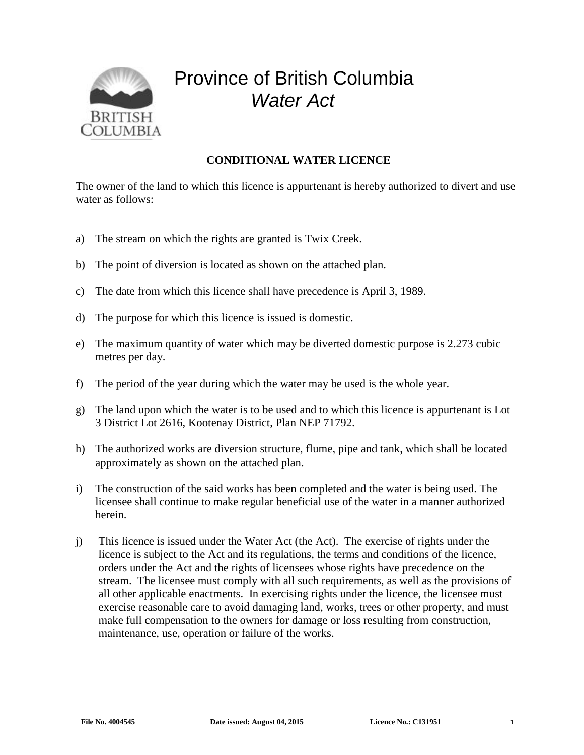

## Province of British Columbia *Water Act*

## **CONDITIONAL WATER LICENCE**

The owner of the land to which this licence is appurtenant is hereby authorized to divert and use water as follows:

- a) The stream on which the rights are granted is Twix Creek.
- b) The point of diversion is located as shown on the attached plan.
- c) The date from which this licence shall have precedence is April 3, 1989.
- d) The purpose for which this licence is issued is domestic.
- e) The maximum quantity of water which may be diverted domestic purpose is 2.273 cubic metres per day.
- f) The period of the year during which the water may be used is the whole year.
- g) The land upon which the water is to be used and to which this licence is appurtenant is Lot 3 District Lot 2616, Kootenay District, Plan NEP 71792.
- h) The authorized works are diversion structure, flume, pipe and tank, which shall be located approximately as shown on the attached plan.
- i) The construction of the said works has been completed and the water is being used. The licensee shall continue to make regular beneficial use of the water in a manner authorized herein.
- j) This licence is issued under the Water Act (the Act). The exercise of rights under the licence is subject to the Act and its regulations, the terms and conditions of the licence, orders under the Act and the rights of licensees whose rights have precedence on the stream. The licensee must comply with all such requirements, as well as the provisions of all other applicable enactments. In exercising rights under the licence, the licensee must exercise reasonable care to avoid damaging land, works, trees or other property, and must make full compensation to the owners for damage or loss resulting from construction, maintenance, use, operation or failure of the works.